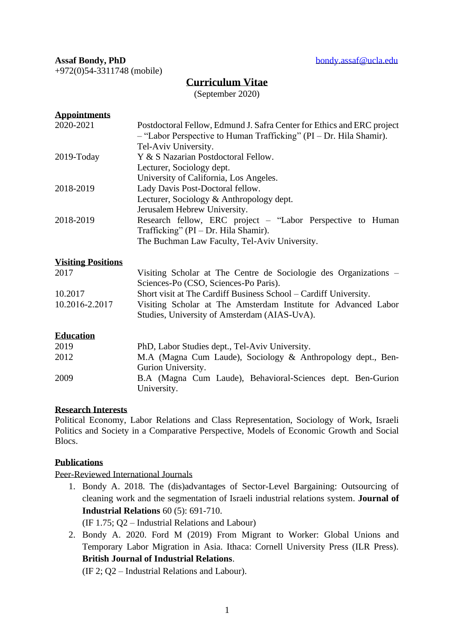+972(0)54-3311748 (mobile)

# **Curriculum Vitae**

(September 2020)

## **Appointments**

| 2020-2021     | Postdoctoral Fellow, Edmund J. Safra Center for Ethics and ERC project<br>- "Labor Perspective to Human Trafficking" (PI - Dr. Hila Shamir). |
|---------------|----------------------------------------------------------------------------------------------------------------------------------------------|
|               | Tel-Aviv University.                                                                                                                         |
| $2019$ -Today | Y & S Nazarian Postdoctoral Fellow.                                                                                                          |
|               | Lecturer, Sociology dept.                                                                                                                    |
|               | University of California, Los Angeles.                                                                                                       |
| 2018-2019     | Lady Davis Post-Doctoral fellow.                                                                                                             |
|               | Lecturer, Sociology & Anthropology dept.                                                                                                     |
|               | Jerusalem Hebrew University.                                                                                                                 |
| 2018-2019     | Research fellow, ERC project – "Labor Perspective to Human"                                                                                  |
|               | Trafficking" ( $PI - Dr$ . Hila Shamir).                                                                                                     |
|               | The Buchman Law Faculty, Tel-Aviv University.                                                                                                |
|               |                                                                                                                                              |

## **Visiting Positions**

| 2017           | Visiting Scholar at The Centre de Sociologie des Organizations – |
|----------------|------------------------------------------------------------------|
|                | Sciences-Po (CSO, Sciences-Po Paris).                            |
| 10.2017        | Short visit at The Cardiff Business School – Cardiff University. |
| 10.2016-2.2017 | Visiting Scholar at The Amsterdam Institute for Advanced Labor   |
|                | Studies, University of Amsterdam (AIAS-UvA).                     |

## **Education**

| 2019 | PhD, Labor Studies dept., Tel-Aviv University.              |
|------|-------------------------------------------------------------|
| 2012 | M.A (Magna Cum Laude), Sociology & Anthropology dept., Ben- |
|      | Gurion University.                                          |
| 2009 | B.A (Magna Cum Laude), Behavioral-Sciences dept. Ben-Gurion |
|      | University.                                                 |

## **Research Interests**

Political Economy, Labor Relations and Class Representation, Sociology of Work, Israeli Politics and Society in a Comparative Perspective, Models of Economic Growth and Social Blocs.

## **Publications**

Peer-Reviewed International Journals

1. Bondy A. 2018. The (dis)advantages of Sector-Level Bargaining: Outsourcing of cleaning work and the segmentation of Israeli industrial relations system. **Journal of Industrial Relations** 60 (5): 691-710.

(IF 1.75; Q2 – Industrial Relations and Labour)

2. Bondy A. 2020. Ford M (2019) From Migrant to Worker: Global Unions and Temporary Labor Migration in Asia. Ithaca: Cornell University Press (ILR Press). **British Journal of Industrial Relations**.

(IF 2; Q2 – Industrial Relations and Labour).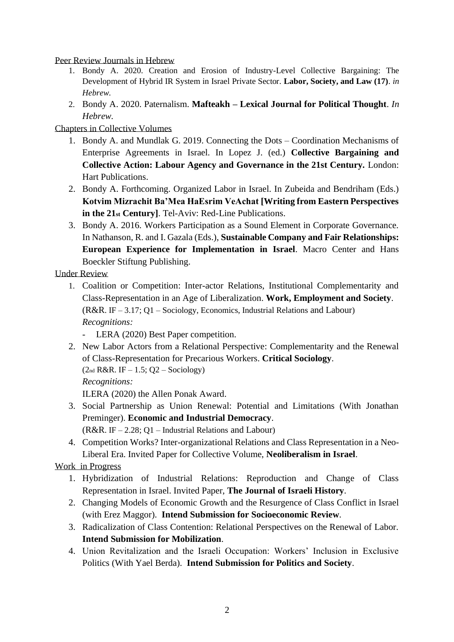Peer Review Journals in Hebrew

- 1. Bondy A. 2020. Creation and Erosion of Industry-Level Collective Bargaining: The Development of Hybrid IR System in Israel Private Sector. **Labor, Society, and Law (17)**. *in Hebrew.*
- 2. Bondy A. 2020. Paternalism. **Mafteakh – Lexical Journal for Political Thought**. *In Hebrew.*

Chapters in Collective Volumes

- 1. Bondy A. and Mundlak G. 2019. Connecting the Dots Coordination Mechanisms of Enterprise Agreements in Israel. In Lopez J. (ed.) **Collective Bargaining and Collective Action: Labour Agency and Governance in the 21st Century.** London: Hart Publications.
- 2. Bondy A. Forthcoming. Organized Labor in Israel. In Zubeida and Bendriham (Eds.) **Kotvim Mizrachit Ba'Mea HaEsrim VeAchat [Writing from Eastern Perspectives in the 21st Century]**. Tel-Aviv: Red-Line Publications.
- 3. Bondy A. 2016. Workers Participation as a Sound Element in Corporate Governance. In Nathanson, R. and I. Gazala (Eds.), **Sustainable Company and Fair Relationships: European Experience for Implementation in Israel**. Macro Center and Hans Boeckler Stiftung Publishing.

Under Review

- 1. Coalition or Competition: Inter-actor Relations, Institutional Complementarity and Class-Representation in an Age of Liberalization. **Work, Employment and Society**. (R&R. IF – 3.17; Q1 – Sociology, Economics, Industrial Relations and Labour) *Recognitions:*
	- LERA (2020) Best Paper competition.
- 2. New Labor Actors from a Relational Perspective: Complementarity and the Renewal of Class-Representation for Precarious Workers. **Critical Sociology**.  $(2<sub>nd</sub> R&R. IF - 1.5; Q2 - Sociology)$ 
	- *Recognitions:*

ILERA (2020) the Allen Ponak Award.

- 3. Social Partnership as Union Renewal: Potential and Limitations (With Jonathan Preminger). **Economic and Industrial Democracy**.
	- $(R&R$ . IF 2.28; O1 Industrial Relations and Labour)
- 4. Competition Works? Inter-organizational Relations and Class Representation in a Neo-Liberal Era. Invited Paper for Collective Volume, **Neoliberalism in Israel**.

Work in Progress

- 1. Hybridization of Industrial Relations: Reproduction and Change of Class Representation in Israel. Invited Paper, **The Journal of Israeli History**.
- 2. Changing Models of Economic Growth and the Resurgence of Class Conflict in Israel (with Erez Maggor). **Intend Submission for Socioeconomic Review**.
- 3. Radicalization of Class Contention: Relational Perspectives on the Renewal of Labor. **Intend Submission for Mobilization**.
- 4. Union Revitalization and the Israeli Occupation: Workers' Inclusion in Exclusive Politics (With Yael Berda). **Intend Submission for Politics and Society**.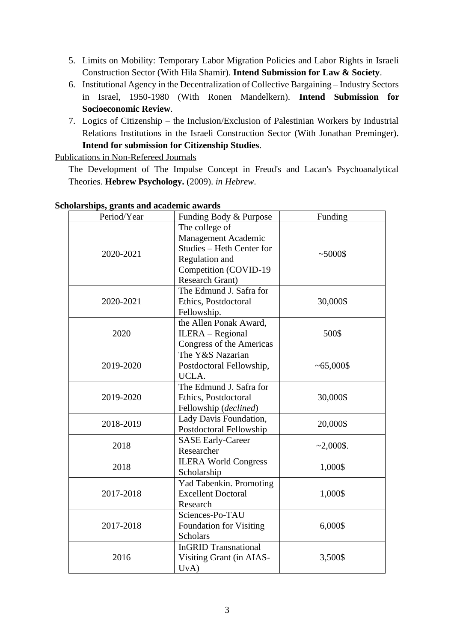- 5. Limits on Mobility: Temporary Labor Migration Policies and Labor Rights in Israeli Construction Sector (With Hila Shamir). **Intend Submission for Law & Society**.
- 6. Institutional Agency in the Decentralization of Collective Bargaining Industry Sectors in Israel, 1950-1980 (With Ronen Mandelkern). **Intend Submission for Socioeconomic Review**.
- 7. Logics of Citizenship the Inclusion/Exclusion of Palestinian Workers by Industrial Relations Institutions in the Israeli Construction Sector (With Jonathan Preminger). **Intend for submission for Citizenship Studies**.

Publications in Non-Refereed Journals

The Development of The Impulse Concept in Freud's and Lacan's Psychoanalytical Theories. **Hebrew Psychology.** (2009). *in Hebrew*.

| Period/Year | Funding Body & Purpose                                                                                                           | Funding      |
|-------------|----------------------------------------------------------------------------------------------------------------------------------|--------------|
| 2020-2021   | The college of<br>Management Academic<br>Studies - Heth Center for<br>Regulation and<br>Competition (COVID-19<br>Research Grant) | ~1000        |
| 2020-2021   | The Edmund J. Safra for<br>Ethics, Postdoctoral<br>Fellowship.                                                                   | 30,000\$     |
| 2020        | the Allen Ponak Award,<br>ILERA - Regional<br>Congress of the Americas                                                           | 500\$        |
| 2019-2020   | The Y&S Nazarian<br>Postdoctoral Fellowship,<br>UCLA.                                                                            | $~1000$ \$   |
| 2019-2020   | The Edmund J. Safra for<br>Ethics, Postdoctoral<br>Fellowship (declined)                                                         | 30,000\$     |
| 2018-2019   | Lady Davis Foundation,<br>Postdoctoral Fellowship                                                                                | 20,000\$     |
| 2018        | <b>SASE Early-Career</b><br>Researcher                                                                                           | $~2,000$ \$. |
| 2018        | <b>ILERA World Congress</b><br>Scholarship                                                                                       | 1,000\$      |
| 2017-2018   | Yad Tabenkin. Promoting<br><b>Excellent Doctoral</b><br>Research                                                                 | 1,000\$      |
| 2017-2018   | Sciences-Po-TAU<br>Foundation for Visiting<br><b>Scholars</b>                                                                    | 6,000\$      |
| 2016        | <b>InGRID Transnational</b><br>Visiting Grant (in AIAS-<br>UvA)                                                                  | 3,500\$      |

#### **Scholarships, grants and academic awards**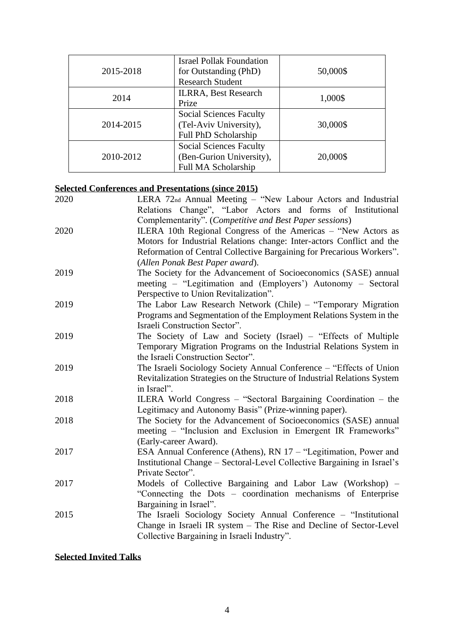| 2015-2018 | <b>Israel Pollak Foundation</b><br>for Outstanding (PhD)<br><b>Research Student</b>      | 50,000\$ |
|-----------|------------------------------------------------------------------------------------------|----------|
| 2014      | <b>ILRRA, Best Research</b><br>Prize                                                     | 1,000\$  |
| 2014-2015 | <b>Social Sciences Faculty</b><br>(Tel-Aviv University),<br>Full PhD Scholarship         | 30,000\$ |
| 2010-2012 | <b>Social Sciences Faculty</b><br>(Ben-Gurion University),<br><b>Full MA Scholarship</b> | 20,000\$ |

# **Selected Conferences and Presentations (since 2015)**

| 2020 | LERA 72nd Annual Meeting - "New Labour Actors and Industrial              |
|------|---------------------------------------------------------------------------|
|      | Relations Change", "Labor Actors and forms of Institutional               |
|      | Complementarity". (Competitive and Best Paper sessions)                   |
| 2020 | ILERA 10th Regional Congress of the Americas – "New Actors as             |
|      | Motors for Industrial Relations change: Inter-actors Conflict and the     |
|      | Reformation of Central Collective Bargaining for Precarious Workers".     |
|      | (Allen Ponak Best Paper award).                                           |
| 2019 | The Society for the Advancement of Socioeconomics (SASE) annual           |
|      | meeting – "Legitimation and (Employers') Autonomy – Sectoral              |
|      | Perspective to Union Revitalization".                                     |
| 2019 | The Labor Law Research Network (Chile) – "Temporary Migration             |
|      | Programs and Segmentation of the Employment Relations System in the       |
|      | Israeli Construction Sector".                                             |
| 2019 | The Society of Law and Society (Israel) – "Effects of Multiple            |
|      | Temporary Migration Programs on the Industrial Relations System in        |
|      | the Israeli Construction Sector".                                         |
| 2019 | The Israeli Sociology Society Annual Conference – "Effects of Union"      |
|      | Revitalization Strategies on the Structure of Industrial Relations System |
|      | in Israel".                                                               |
| 2018 | ILERA World Congress – "Sectoral Bargaining Coordination – the            |
|      | Legitimacy and Autonomy Basis" (Prize-winning paper).                     |
| 2018 | The Society for the Advancement of Socioeconomics (SASE) annual           |
|      | meeting – "Inclusion and Exclusion in Emergent IR Frameworks"             |
|      | (Early-career Award).                                                     |
| 2017 | ESA Annual Conference (Athens), RN 17 - "Legitimation, Power and          |
|      | Institutional Change – Sectoral-Level Collective Bargaining in Israel's   |
|      | Private Sector".                                                          |
| 2017 | Models of Collective Bargaining and Labor Law (Workshop) –                |
|      | "Connecting the Dots – coordination mechanisms of Enterprise              |
|      | Bargaining in Israel".                                                    |
| 2015 | The Israeli Sociology Society Annual Conference – "Institutional"         |
|      | Change in Israeli IR system - The Rise and Decline of Sector-Level        |
|      | Collective Bargaining in Israeli Industry".                               |
|      |                                                                           |

# **Selected Invited Talks**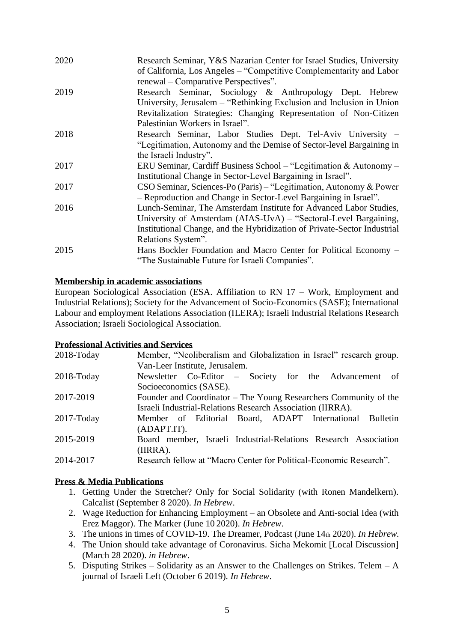| 2020 | Research Seminar, Y&S Nazarian Center for Israel Studies, University<br>of California, Los Angeles - "Competitive Complementarity and Labor<br>renewal – Comparative Perspectives".                                                      |
|------|------------------------------------------------------------------------------------------------------------------------------------------------------------------------------------------------------------------------------------------|
| 2019 | Research Seminar, Sociology & Anthropology Dept. Hebrew<br>University, Jerusalem – "Rethinking Exclusion and Inclusion in Union<br>Revitalization Strategies: Changing Representation of Non-Citizen<br>Palestinian Workers in Israel".  |
| 2018 | Research Seminar, Labor Studies Dept. Tel-Aviv University -<br>"Legitimation, Autonomy and the Demise of Sector-level Bargaining in<br>the Israeli Industry".                                                                            |
| 2017 | ERU Seminar, Cardiff Business School – "Legitimation & Autonomy –<br>Institutional Change in Sector-Level Bargaining in Israel".                                                                                                         |
| 2017 | CSO Seminar, Sciences-Po (Paris) – "Legitimation, Autonomy & Power<br>- Reproduction and Change in Sector-Level Bargaining in Israel".                                                                                                   |
| 2016 | Lunch-Seminar, The Amsterdam Institute for Advanced Labor Studies,<br>University of Amsterdam (AIAS-UvA) – "Sectoral-Level Bargaining,<br>Institutional Change, and the Hybridization of Private-Sector Industrial<br>Relations System". |
| 2015 | Hans Bockler Foundation and Macro Center for Political Economy –<br>"The Sustainable Future for Israeli Companies".                                                                                                                      |

## **Membership in academic associations**

European Sociological Association (ESA. Affiliation to RN 17 – Work, Employment and Industrial Relations); Society for the Advancement of Socio-Economics (SASE); International Labour and employment Relations Association (ILERA); Israeli Industrial Relations Research Association; Israeli Sociological Association.

## **Professional Activities and Services**

| 2018-Today | Member, "Neoliberalism and Globalization in Israel" research group. |
|------------|---------------------------------------------------------------------|
|            | Van-Leer Institute, Jerusalem.                                      |
| 2018-Today | Newsletter Co-Editor – Society for the Advancement of               |
|            | Socioeconomics (SASE).                                              |
| 2017-2019  | Founder and Coordinator – The Young Researchers Community of the    |
|            | Israeli Industrial-Relations Research Association (IIRRA).          |
| 2017-Today | Member of Editorial Board, ADAPT International<br>Bulletin          |
|            | (ADAPT.IT).                                                         |
| 2015-2019  | Board member, Israeli Industrial-Relations Research Association     |
|            | (IIRRA).                                                            |
| 2014-2017  | Research fellow at "Macro Center for Political-Economic Research".  |
|            |                                                                     |

# **Press & Media Publications**

- 1. Getting Under the Stretcher? Only for Social Solidarity (with Ronen Mandelkern). Calcalist (September 8 2020). *In Hebrew*.
- 2. Wage Reduction for Enhancing Employment an Obsolete and Anti-social Idea (with Erez Maggor). The Marker (June 10 2020). *In Hebrew*.
- 3. The unions in times of COVID-19. The Dreamer, Podcast (June 14th 2020). *In Hebrew.*
- 4. The Union should take advantage of Coronavirus. Sicha Mekomit [Local Discussion] (March 28 2020). *in Hebrew*.
- 5. Disputing Strikes Solidarity as an Answer to the Challenges on Strikes. Telem A journal of Israeli Left (October 6 2019). *In Hebrew*.